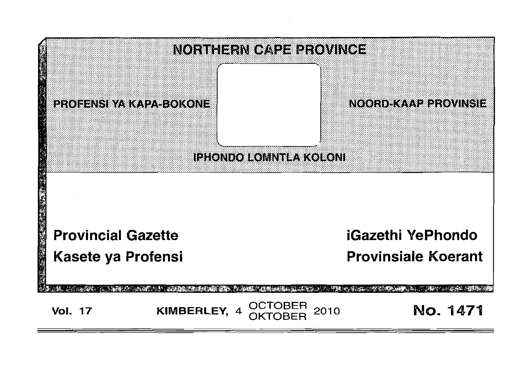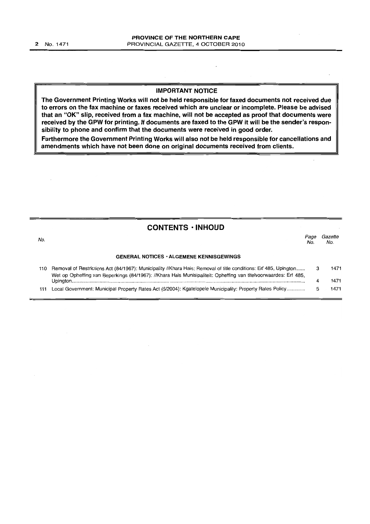#### **IMPORTANT NOTICE**

 $\mathbf{r}$ 

**The Government Printing Works will not be held responsible for faxed documents not received due to errors on the fax machine or faxes received which are unclear or incomplete. Please be advised that an "OK" slip, received from a fax machine, will not be accepted as proof that documents were received by the GPW for printing. If documents are faxed to the GPW it will be the sender's responsibility to phone and confirm that the documents were received in good order.**

**Furthermore the Government Printing Works will also not be held responsible for cancellations and amendments which have not been done on original documents received from clients.**

|     | <b>CONTENTS · INHOUD</b>                                                                                                                                                                                                             |             |                |
|-----|--------------------------------------------------------------------------------------------------------------------------------------------------------------------------------------------------------------------------------------|-------------|----------------|
| No. |                                                                                                                                                                                                                                      | Page<br>No. | Gazette<br>No. |
|     | <b>GENERAL NOTICES · ALGEMENE KENNISGEWINGS</b>                                                                                                                                                                                      |             |                |
| 110 | Removal of Restrictions Act (84/1967): Municipality //Khara Hais: Removal of title conditions: Erf 485, Upington<br>Wet op Opheffing van Beperkings (84/1967): //Khara Hais Munisipaliteit: Opheffing van titelvoorwaardes: Erf 485, |             | 1471           |
|     |                                                                                                                                                                                                                                      |             | 1471           |
| 111 | Local Government: Municipal Property Rates Act (6/2004): Kgatelopele Municipality: Property Rates Policy                                                                                                                             |             | 1471           |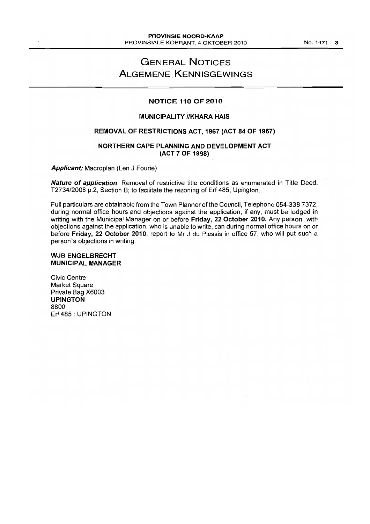# **GENERAL NOTICES ALGEMENE KENNISGEWINGS**

#### **NOTICE 110 OF 2010**

#### **MUNICIPALITY IIKHARA HAIS**

#### **REMOVAL OF RESTRICTIONS ACT, 1967 (ACT 84 OF 1967)**

#### **NORTHERN CAPE PLANNING AND DEVELOPMENT ACT (ACT 7 OF 1998)**

**Applicant:** Macroplan (Len J Fourie)

**Nature of application:** Removal of restrictive title conditions as enumerated in Title Deed, T2734/2008 p.2, Section B; to facilitate the rezoning of Erf 485, Upington.

Full particulars are obtainable from the Town Planner of the Council, Telephone 054-338 7372, during normal office hours and objections against the application, if any, must be lodged in writing with the Municipal Manager on or before **Friday, 22 October 2010.** Any person with objections against the application, who is unable to write, can during normal office hours on or before **Friday, 22 October 2010,** report to Mr J du Plessis in office 57, who will put such a person's objections in writing.

#### **WJB ENGELBRECHT MUNICIPAL MANAGER**

Civic Centre Market Square Private Bag X6003 **UPINGTON** 8800 Erf 485 : UPINGTON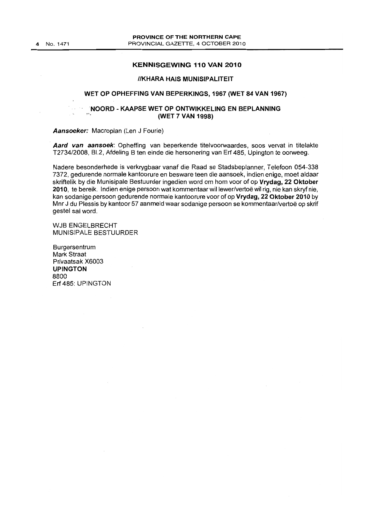#### **KENNISGEWING 110 VAN 2010**

#### **IIKHARA HAIS MUNISIPALITEIT**

#### **WET OP OPHEFFING VAN BEPERKINGS, 1967 (WET 84 VAN 1967)**

#### **NOORD - KAAPSE WET OP ONTWIKKELING EN BEPLANNING (WET 7 VAN 1998)**

**Aansoeker:** Macroplan (Len J Fourie)

**Aard van aansoek:** Opheffing van beperkende titelvoorwaardes, 5005 vervat in titelakte T2734/2008, B1.2, Afdeling B ten einde die hersonering van Erf 485, Upington te oorweeg.

Nadere besonderhede is verkrygbaar vanaf die Raad se Stadsbeplanner, Telefoon 054-338 7372, gedurende normale kantoorure en besware teen die aansoek, indien enige, moet aldaar skriftelik by die Munisipale Bestuurder ingedien word om hom voor of op **Vrydag, 22 Oktober 2010,** te bereik. Indien enige persoon wat kommentaar willewer/vertoe wil rig, nie kan skryf nie, kan sodanige persoon gedurende normale kantoorure voor of op **Vrydag, 22 Oktober 201 0** by Mnr J du Plessis by kantoor 57 aanmeld waar sodanige persoon se kommentaar/vertoe op skrif gestel sal word.

WJB ENGELBRECHT MUNISIPALE BESTUURDER

Burgersentrum Mark Straat Privaatsak X6003 **UPINGTON** 8800 Erf 485: UPINGTON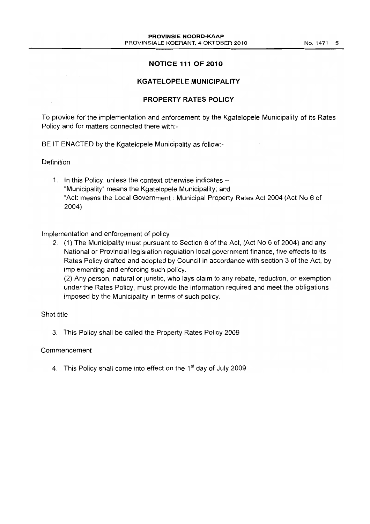#### **NOTICE 111 OF 2010**

#### **KGATELOPELE MUNICIPALITY**

# **PROPERTY RATES POLICY**

To provide for the implementation and enforcement by the Kgatelopele Municipality of its Rates Policy and for matters connected there with:-

BE IT ENACTED by the Kgatelopele Municipality as follow:-

### Definition

 $\mathcal{O}(\mathcal{A})$  and

1. In this Policy, unless the context otherwise indicates -"Municipality" means the Kgatelopele Municipality; and "Act: means the Local Government: Municipal Property Rates Act 2004 (Act No 6 of 2004)

#### Implementation and enforcement of policy

2. (1) The Municipality must pursuant to Section 6 of the Act, (Act No 6 of 2004) and any National or Provincial legislation regulation local government finance, five effects to its Rates Policy drafted and adopted by Council in accordance with section 3 of the Act, by implementing and enforcing such policy.

(2) Any person, natural or juristic, who lays claim to any rebate, reduction, or exemption under the Rates Policy, must provide the information required and meet the obligations imposed by the Municipality in terms of such policy.

### Shot title

3. This Policy shall be called the Property Rates Policy 2009

#### Commencement

4. This Policy shall come into effect on the  $1<sup>st</sup>$  day of July 2009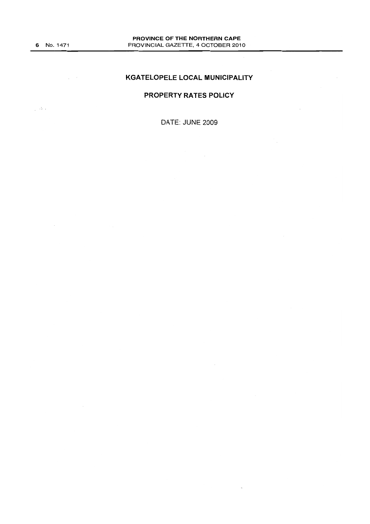$\mathcal{L}^{\text{max}}_{\text{max}}$ 

#### **KGATELOPELE LOCAL MUNICIPALITY**

# **PROPERTY RATES POLICY**

 $\frac{1}{2}$  , the  $\ell$ 

 $\sim$ 

DATE: JUNE 2009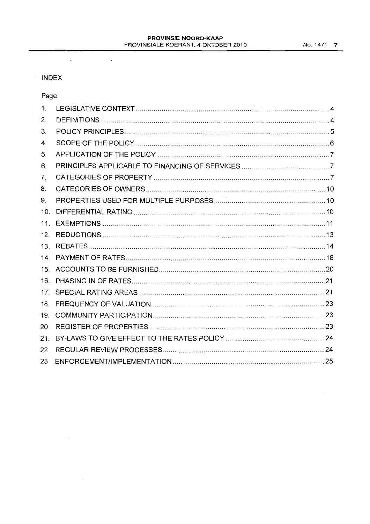#### PROVINSIE NOORD-KAAP PROVINSIALE KOERANT, 4 OKTOBER 2010 No. 1471 7

# INDEX

 $\sim$ 

 $\bar{\lambda}$ 

# Page

| 1.              |  |
|-----------------|--|
| 2.              |  |
| 3.              |  |
| 4.              |  |
| 5.              |  |
| 6.              |  |
| 7.              |  |
| 8.              |  |
| 9.              |  |
| 10 <sub>1</sub> |  |
| 11 <sub>1</sub> |  |
| 12.             |  |
| 13.             |  |
|                 |  |
|                 |  |
| 16.             |  |
| 17              |  |
| 18.             |  |
| 19.             |  |
| 20              |  |
| 21.             |  |
| 22              |  |
| 23              |  |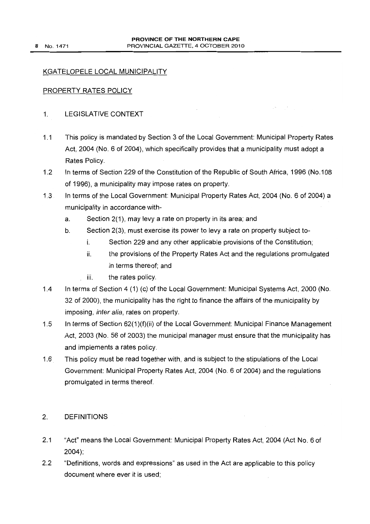# KGATELOPELE LOCAL MUNICIPALITY

### PROPERTY RATES POLICY

### 1. LEGISLATIVE CONTEXT

- 1.1 This policy is mandated by Section 3 of the Local Government: Municipal Property Rates Act, 2004 (No.6 of 2004), which specifically provides that a municipality must adopt a Rates Policy.
- 1.2 In terms of Section 229 of the Constitution of the Republic of South Africa, 1996 (No.108 of 1996), a municipality may impose rates on property.
- 1.3 In terms of the Local Government: Municipal Property Rates Act, 2004 (No.6 of 2004) a municipality in accordance with
	- a. Section 2(1), may levy a rate on property in its area; and
	- b. Section 2(3), must exercise its power to levy a rate on property subject to
		- i. Section 229 and any other applicable provisions of the Constitution;
		- ii. the provisions of the Property Rates Act and the regulations promulgated in terms thereof; and
		- iii. the rates policy.
- 1.4 In terms of Section 4 (1) (c) of the Local Government: Municipal Systems Act, 2000 (No. 32 of 2000), the municipality has the right to finance the affairs of the municipality by imposing, inter alia, rates on property.
- 1.5 In terms of Section 62(1)(f)(ii) of the Local Government: Municipal Finance Management Act, 2003 (No. 56 of 2003) the municipal manager must ensure that the municipality has and implements a rates policy.
- 1.6 This policy must be read together with, and is subject to the stipulations of the Local Government: Municipal Property Rates Act, 2004 (No.6 of 2004) and the regulations promulgated in terms thereof.

# 2. DEFINITIONS

- 2.1 "Act" means the Local Government: Municipal Property Rates Act, 2004 (Act NO.6 of 2004);
- 2.2 "Definitions, words and expressions" as used in the Act are applicable to this policy document where ever it is used;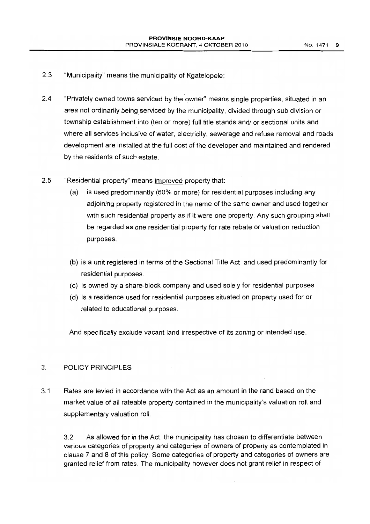- 2.3 "Municipality" means the municipality of Kgatelopele;
- 2.4 "Privately owned towns serviced by the owner" means single properties, situated in an area not ordinarily being serviced by the municipality, divided through sub division or township establishment into (ten or more) full title stands and/ or sectional units and where all services inclusive of water, electricity, sewerage and refuse removal and roads development are installed at the full cost of the developer and maintained and rendered by the residents of such estate.
- 2.5 "Residential property" means improved property that:
	- (a) is used predominantly (60% or more) for residential purposes including any adjoining property registered in the name of the same owner and used together with such residential property as if it were one property. Any such grouping shall be regarded as one residential property for rate rebate or valuation reduction purposes.
	- (b) is a unit registered in terms of the Sectional Title Act and used predominantly for residential purposes.
	- (c) Is owned by a share-block company and used solely for residential purposes.
	- (d) Is a residence used for residential purposes situated on property used for or related to educational purposes.

And specifically exclude vacant land irrespective of its zoning or intended use.

#### 3. POLICY PRINCIPLES

3.1 Rates are levied in accordance with the Act as an amount in the rand based on the market value of all rateable property contained in the municipality's valuation roll and supplementary valuation roll.

3.2 As allowed for in the Act, the municipality has chosen to differentiate between various categories of property and categories of owners of property as contemplated in clause 7 and 8 of this policy. Some categories of property and categories of owners are granted relief from rates. The municipality however does not grant relief in respect of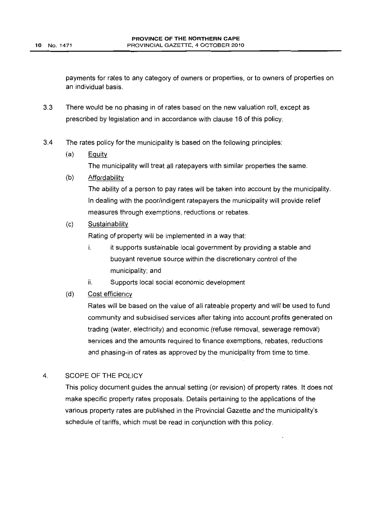payments for rates to any category of owners or properties, or to owners of properties on an individual basis.

- 3.3 There would be no phasing in of rates based on the new valuation roll, except as prescribed by legislation and in accordance with clause 16 of this policy.
- 3.4 The rates policy for the municipality is based on the following principles:
	- $(a)$  Equity

The municipality will treat all ratepayers with similar properties the same.

(b) Affordability

The ability of a person to pay rates will be taken into account by the municipality. In dealing with the poor/indigent ratepayers the municipality will provide relief measures through exemptions, reductions or rebates.

(c) Sustainability

Rating of property will be implemented in a way that:

- i. it supports sustainable local government by providing a stable and buoyant revenue source within the discretionary control of the municipality; and
- ii. Supports local social economic development

# (d) Cost efficiency

Rates will be based on the value of all rateable property and will be used to fund community and subsidised services after taking into account profits generated on trading (water, electricity) and economic (refuse removal, sewerage removal) services and the amounts required to finance exemptions, rebates, reductions and phasing-in of rates as approved by the municipality from time to time.

#### 4. SCOPE OF THE POLICY

This policy document guides the annual setting (or revision) of property rates. It does not make specific property rates proposals. Details pertaining to the applications of the various property rates are published in the Provincial Gazette and the municipality's schedule of tariffs, which must be read in conjunction with this policy.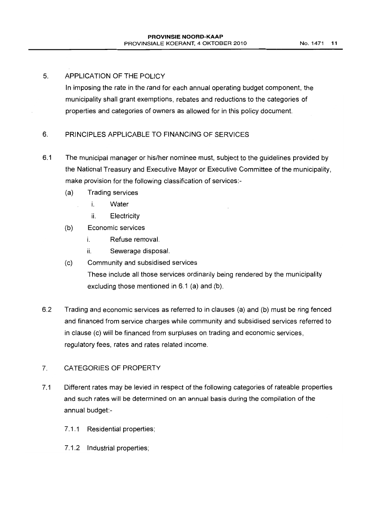## 5. APPLICATION OF THE POLICY

In imposing the rate in the rand for each annual operating budget component, the municipality shall grant exemptions, rebates and reductions to the categories of properties and categories of owners as allowed for in this policy document.

# 6. PRINCIPLES APPLICABLE TO FINANCING OF SERVICES

- 6.1 The municipal manager or his/her nominee must, subject to the guidelines provided by the National Treasury and Executive Mayor or Executive Committee of the municipality, make provision for the following classification of services:-
	- (a) Trading services
		- i. Water
		- ii. Electricity
	- (b) Economic services
		- i. Refuse removal.
		- ii. Sewerage disposal.
	- (c) Community and subsidised services These include all those services ordinarily being rendered by the municipality excluding those mentioned in 6.1 (a) and (b).
- 6.2 Trading and economic services as referred to in clauses (a) and (b) must be ring fenced and financed from service charges while community and subsidised services referred to in clause (c) will be financed from surpluses on trading and economic services, regulatory fees, rates and rates related income.

# 7. CATEGORIES OF PROPERTY

- 7.1 Different rates may be levied in respect of the following categories of rateable properties and such rates will be determined on an annual basis during the compilation of the annual budget:-
	- 7.1.1 Residential properties;
	- 7.1.2 Industrial properties;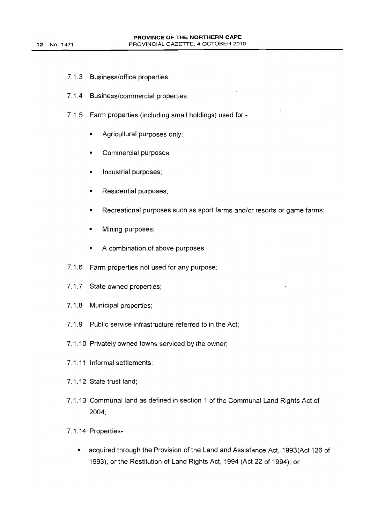- 7.1.3 Business/office properties;
- 7.1.4 Business/commercial properties;
- 7.1.5 Farm properties (including small holdings) used for:-
	- Agricultural purposes only;
	- Commercial purposes;
	- Industrial purposes;
	- Residential purposes;
	- Recreational purposes such as sport farms and/or resorts or game farms;
	- Mining purposes;
	- A combination of above purposes;
- 7.1.6 Farm properties not used for any purpose;
- 7.1.7 State owned properties;
- 7.1.8 Municipal properties;
- 7.1.9 Public service infrastructure referred to in the Act;
- 7.1.10 Privately owned towns serviced by the owner;
- 7.1.11 Informal settlements;
- 7.1.12 State trust land;
- 7.1.13 Communal land as defined in section 1 of the Communal Land Rights Act of 2004;
- 7.1.14 Properties-
	- acquired through the Provision of the Land and Assistance Act, 1993(Act 126 of 1993), or the Restitution of Land Rights Act, 1994 (Act 22 of 1994); or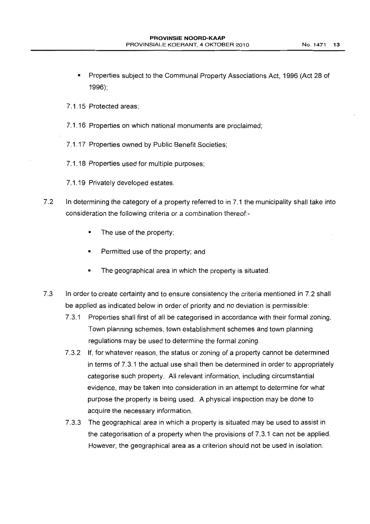- Properties subject to the Communal Property Associations Act, 1996 (Act 28 of 1996);
- 7.1.15 Protected areas;
- 7.1.16 Properties on which national monuments are proclaimed;
- 7.1.17 Properties owned by Public Benefit Societies;
- 7.1.18 Properties used for multiple purposes;
- 7.1.19 Privately developed estates.
- 7.2 In determining the category of a property referred to in 7.1 the municipality shall take into consideration the following criteria or a combination thereof-
	- The use of the property;
	- Permitted use of the property; and
	- The geographical area in which the property is situated.
- 7.3 In order to create certainty and to ensure consistency the criteria mentioned in 7.2 shall be applied as indicated below in order of priority and no deviation is permissible:
	- 7.3.1 Properties shall first of aii be categorised in accordance with their formal zoning. Town planning schemes, town establishment schemes and town planning regulations may be used to determine the formal zoning.
	- 7.3.2 If, for whatever reason, the status or zoning of a property cannot be determined in terms of 7.3.1 the actual use shall then be determined in order to appropriately categorise such property. All relevant information, including circumstantial evidence, may be taken into consideration in an attempt to determine for what purpose the property is being used. A physical inspection may be done to acquire the necessary information.
	- 7.3.3 The geographical area in which a property is situated may be used to assist in the categorisation of a property when the provisions of 7.3.1 can not be applied. However, the geographical area as a criterion should not be used in isolation.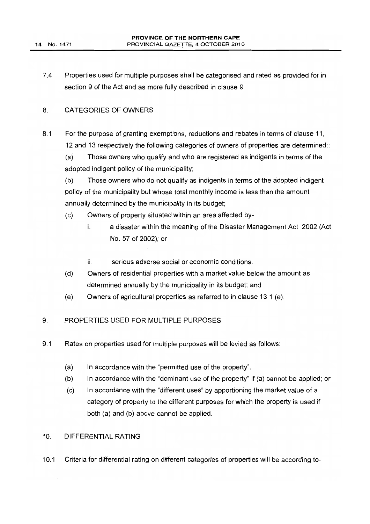7.4 Properties used for multiple purposes shall be categorised and rated as provided for in section 9 of the Act and as more fully described in clause 9.

### 8. CATEGORIES OF OWNERS

8.1 For the purpose of granting exemptions, reductions and rebates in terms of clause 11, 12 and 13 respectively the following categories of owners of properties are determined::

(a) Those owners who qualify and who are registered as indigents in terms of the adopted indigent policy of the municipality;

(b) Those owners who do not qualify as indigents in terms of the adopted indigent policy of the municipality but whose total monthly income is less than the amount annually determined by the municipality in its budget;

- (c) Owners of property situated within an area affected by
	- i. a disaster within the meaning of the Disaster Management Act, 2002 (Act No. 57 of 2002); or
		- ii. serious adverse social or economic conditions.
- (d) Owners of residential properties with a market value below the amount as determined annually by the municipality in its budget; and
- (e) Owners of agricultural properties as referred to in clause 13.1 (e).

#### 9. PROPERTIES USED FOR MULTIPLE PURPOSES

- 9.1 Rates on properties used for multiple purposes will be levied as follows:
	- (a) In accordance with the "permitted use of the property".
	- (b) In accordance with the "dominant use of the property" if (a) cannot be applied; or
	- (c) In accordance with the "different uses" by apportioning the market value of a category of property to the different purposes for which the property is used if both (a) and (b) above cannot be applied.

# 10. DIFFERENTIAL RATING

10.1 Criteria for differential rating on different categories of properties will be according to-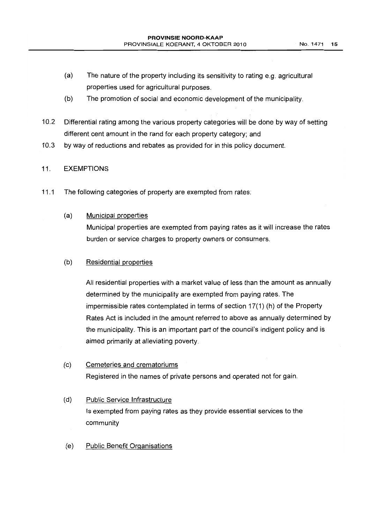- (a) The nature of the property including its sensitivity to rating e.g. agricultural properties used for agricultural purposes.
- (b) The promotion of social and economic development of the municipality.
- 10.2 Differential rating among the various property categories will be done by way of setting different cent amount in the rand for each property category; and
- 10.3 by way of reductions and rebates as provided for in this policy document.

# 11. EXEMPTIONS

- 11.1 The following categories of property are exempted from rates:
	- (a) Municipal properties

Municipal properties are exempted from paying rates as it will increase the rates burden or service charges to property owners or consumers.

(b) Residential properties

All residential properties with a market value of less than the amount as annually determined by the municipality are exempted from paying rates. The impermissible rates contemplated in terms of section 17(1) (h) of the Property Rates Act is included in the amount referred to above as annually determined by the municipality. This is an important part of the council's indigent policy and is aimed primarily at alleviating poverty.

# (c) Cemeteries and crematoriums Registered in the names of private persons and operated not for gain.

- (d) Public Service Infrastructure Is exempted from paying rates as they provide essential services to the community
- (e) Public Benefit Organisations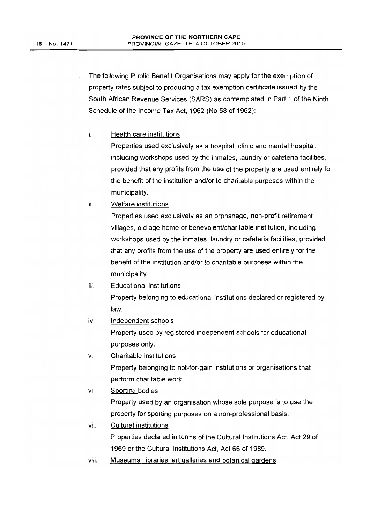The following Public Benefit Organisations may apply for the exemption of property rates subject to producing a tax exemption certificate issued by the South African Revenue Services (SARS) as contemplated in Part 1 of the Ninth Schedule of the Income Tax Act, 1962 (No 58 of 1962):

### i. Health care institutions

Properties used exclusively as a hospital, clinic and mental hospital, including workshops used by the inmates, laundry or cafeteria facilities, provided that any profits from the use of the property are used entirely for the benefit of the institution and/or to charitable purposes within the municipality.

### ii. Welfare institutions

Properties used exclusively as an orphanage, non-profit retirement villages, old age home or benevolent/charitable institution, including workshops used by the inmates, laundry or cafeteria facilities, provided that any profits from the use of the property are used entirely for the benefit of the institution and/or to charitable purposes within the municipality.

# iii. Educational institutions

Property belonging to educational institutions declared or registered by law.

iv. Independent schools

Property used by registered independent schools for educational purposes only.

v. Charitable institutions

Property belonging to not-for-gain institutions or organisations that perform charitable work.

# vi. Sporting bodies

Property used by an organisation whose sole purpose is to use the property for sporting purposes on a non-professional basis.

vii. Cultural institutions

Properties declared in terms of the Cultural Institutions Act, Act 29 of 1969 or the Cultural Institutions Act, Act 66 of 1989.

viii. Museums, libraries, art galleries and botanical gardens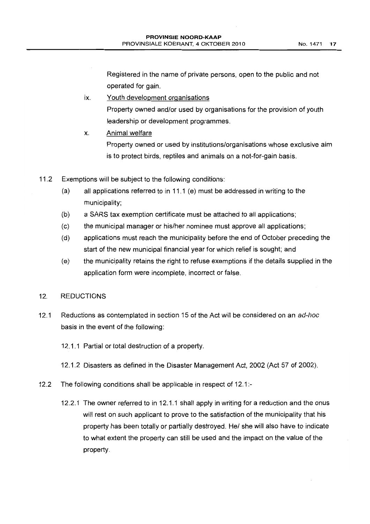Registered in the name of private persons, open to the public and not operated for gain.

- ix. Youth development organisations Property owned and/or used by organisations for the provision of youth leadership or development programmes.
- x. Animal welfare Property owned or used by institutions/organisations whose exclusive aim is to protect birds, reptiles and animals on a not-for-gain basis.
- 11.2 Exemptions will be subject to the following conditions:
	- (a) all applications referred to in 11.1 (e) must be addressed in writing to the municipality;
	- (b) a SARS tax exemption certificate must be attached to aii applications;
	- (c) the municipal manager or his/her nominee must approve all applications;
	- (d) applications must reach the municipality before the end of October preceding the start of the new municipal financial year for which relief is sought; and
	- (e) the municipality retains the right to refuse exemptions if the details supplied in the application form were incomplete, incorrect or false.

# 12. REDUCTIONS

- 12.1 Reductions as contemplated in section 15 of the Act will be considered on an ad-hoc basis in the event of the following:
	- 12.1.1 Partial or total destruction of a property.
	- 12.1.2 Disasters as defined in the Disaster Management Act, 2002 (Act 57 of 2002).
- 12.2 The following conditions shall be applicable in respect of 12.1:-
	- 12.2.1 The owner referred to in 12.1.1 shall apply in writing for a reduction and the onus will rest on such applicant to prove to the satisfaction of the municipality that his property has been totally or partially destroyed. He/ she will also have to indicate to what extent the property can still be used and the impact on the value of the property.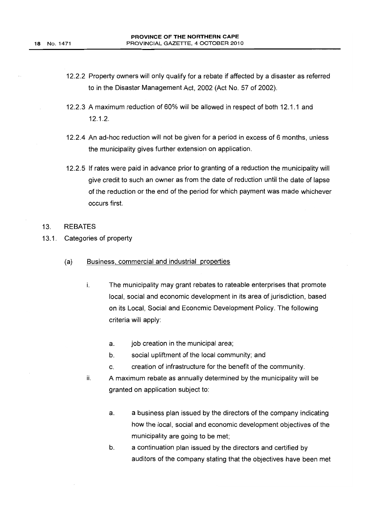- 12.2.2 Property owners will only qualify for a rebate if affected by a disaster as referred to in the Disaster Management Act, 2002 (Act No. 57 of 2002).
- 12.2.3 A maximum reduction of 60% will be allowed in respect of both 12.1.1 and 12.1.2.
- 12.2.4 An ad-hoc reduction will not be given for a period in excess of 6 months, unless the municipality gives further extension on application.
- 12.2.5 If rates were paid in advance prior to granting of a reduction the municipality will give credit to such an owner as from the date of reduction until the date of lapse of the reduction or the end of the period for which payment was made whichever occurs first.

#### 13. REBATES

- 13.1. Categories of property
	- (a) Business, commercial and industrial properties
		- i. The municipality may grant rebates to rateable enterprises that promote local, social and economic development in its area of jurisdiction, based on its Local, Social and Economic Development Policy. The following criteria will apply:
			- a. job creation in the municipal area;
			- b. social upliftment of the local community; and
			- c. creation of infrastructure for the benefit of the community.
		- ii. A maximum rebate as annually determined by the municipality will be granted on application subject to:
			- a. a business plan issued by the directors of the company indicating how the local, social and economic development objectives of the municipality are going to be met;
			- b. a continuation plan issued by the directors and certified by auditors of the company stating that the objectives have been met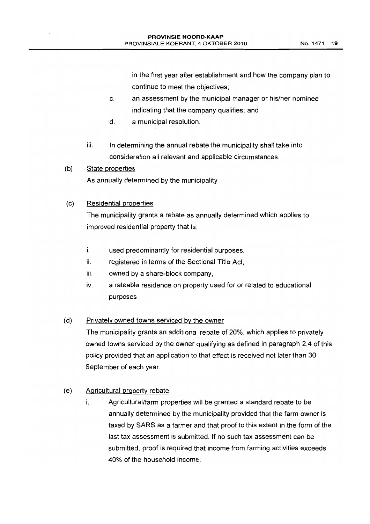in the first year after establishment and how the company plan to continue to meet the objectives;

- c. an assessment by the municipal manager or his/her nominee indicating that the company qualifies; and
- d. a municipal resolution.
- iii. In determining the annual rebate the municipality shall take into consideration all relevant and applicable circumstances.
- (b) State properties As annually determined by the municipality

# (c) Residential properties

The municipality grants a rebate as annually determined which applies to improved residential property that is:

- i. used predominantly for residential purposes,
- ii. registered in terms of the Sectional Title Act,
- iii. owned by a share-block company,
- iv. a rateable residence on property used for or related to educational purposes

# (d) Privately owned towns serviced by the owner

The municipality grants an additional rebate of 20%, which applies to privately owned towns serviced by the owner qualifying as defined in paragraph 2.4 of this policy provided that an application to that effect is received not later than 30 September of each year.

# (e) Agricultural property rebate

i. Agricultural/farm properties will be granted a standard rebate to be annually determined by the municipality provided that the farm owner is taxed by SARS as a farmer and that proof to this extent in the form of the last tax assessment is submitted. If no such tax assessment can be submitted, proof is required that income from farming activities exceeds 40% of the household income.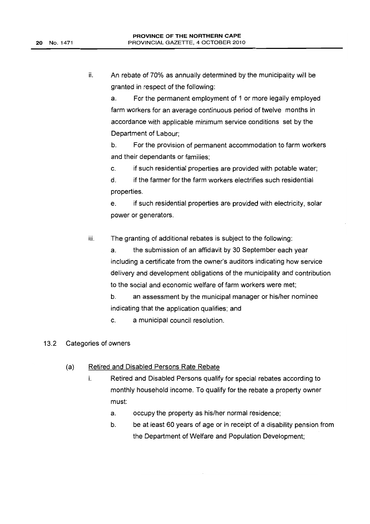ii. An rebate of 70% as annually determined by the municipality will be granted in respect of the following:

a. For the permanent employment of 1 or more legally employed farm workers for an aVerage continuous period of twelve months in accordance with applicable minimum service conditions set by the Department of Labour;

b. For the provision of permanent accommodation to farm workers and their dependants or families;

c. if such residential properties are provided with potable water;

d. if the farmer for the farm workers electrifies such residential properties.

e. if such residential properties are provided with electricity, solar power or generators.

iii. The granting of additional rebates is subject to the following:

> a. the submission of an affidavit by 30 September each year including a certificate from the owner's auditors indicating how service delivery and development obligations of the municipality and contribution to the social and economic welfare of farm workers were met;

b. an assessment by the municipal manager or his/her nominee indicating that the application qualifies; and

c. a municipal council resolution.

### 13.2 Categories of owners

- (a) Retired and Disabled Persons Rate Rebate
	- i. Retired and Disabled Persons qualify for special rebates according to monthly household income. To qualify for the rebate a property owner must:
		- a. occupy the property as his/her normal residence;
		- b. be at least 60 years of age or in receipt of a disability pension from the Department of Welfare and Population Development;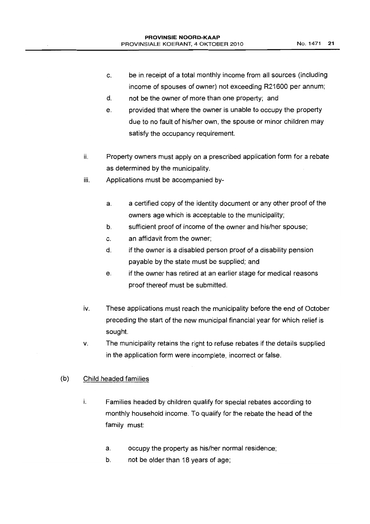- c. be in receipt of a total monthly income from all sources (including income of spouses of owner) not exceeding R21600 per annum;
- d. not be the owner of more than one property; and
- e. provided that where the owner is unable to occupy the property due to no fault of his/her own, the spouse or minor children may satisfy the occupancy requirement.
- ii. Property owners must apply on a prescribed application form for a rebate as determined by the municipality.
- iii. Applications must be accompanied by
	- a. a certified copy of the identity document or any other proof of the owners age which is acceptable to the municipality;
	- b. sufficient proof of income of the owner and his/her spouse;
	- c. an affidavit from the owner;
	- d. if the owner is a disabled person proof of a disability pension payable by the state must be supplied; and
	- e. if the owner has retired at an earlier stage for medical reasons proof thereof must be submitted.
- iv. These applications must reach the municipality before the end of October preceding the start of the new municipal financial year for which relief is sought.
- v. The municipality retains the right to refuse rebates if the details supplied in the application form were incomplete, incorrect or false.

### (b) Child headed families

- i. Families headed by children qualify for special rebates according to monthly household income. To qualify for the rebate the head of the family must:
	- a. occupy the property as his/her normal residence;
	- b. not be older than 18 years of age;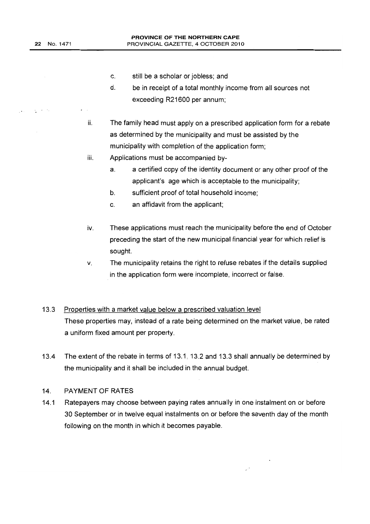$\eta \to \infty$ 

- c. still be a scholar or jobless; and
- d. be in receipt of a total monthly income from all sources not exceeding R21600 per annum;
- ii. The family head must apply on a prescribed application form for a rebate as determined by the municipality and must be assisted by the municipality with completion of the application form;
- iii. Applications must be accompanied by
	- a. a certified copy of the identity document or any other proof of the applicant's age which is acceptable to the municipality;
	- b. sufficient proof of total household income;
	- c. an affidavit from the applicant;
- iv. These applications must reach the municipality before the end of October preceding the start of the new municipal financial year for which relief is sought.
- v. The municipality retains the right to refuse rebates if the details supplied in the application form were incomplete, incorrect or false.

#### 13.3 Properties with a market value below a prescribed valuation level

These properties may, instead of a rate being determined on the market value, be rated a uniform fixed amount per property.

13.4 The extent of the rebate in terms of 13.1, 13.2 and 13.3 shall annually be determined by the municipality and it shall be included in the annual budget.

#### 14. PAYMENT OF RATES

14.1 Ratepayers may choose between paying rates annually in one instalment on or before 30 September or in twelve equal instalments on or before the seventh day of the month following on the month in which it becomes payable.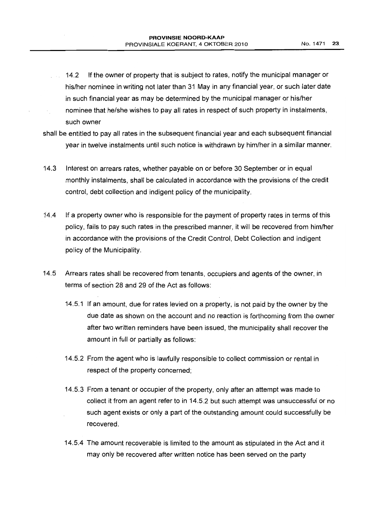- 14.2 If the owner of property that is subject to rates, notify the municipal manager or in an his/her nominee in writing not later than 31 May in any financial year, or such later date in such financial year as may be determined by the municipal manager or his/her nominee that he/she wishes to pay all rates in respect of such property in instalments, such owner
- shall be entitled to pay all rates in the subsequent financial year and each subsequent financial year in twelve instalments until such notice is withdrawn by him/her in a similar manner.
- 14.3 Interest on arrears rates, whether payable on or before 30 September or in equal monthly instalments, shall be calculated in accordance with the provisions of the credit control, debt collection and indigent policy of the municipality.
- 14.4 if a property owner who is responsible for the payment of property rates in terms of this policy, fails to pay such rates in the prescribed manner, it will be recovered from him/her in accordance with the provisions of the Credit Control, Debt Collection and indigent policy of the Municipality.
- 14.5 Arrears rates shall be recovered from tenants, occupiers and agents of the owner, in terms of section 28 and 29 of the Act as follows:
	- 14.5.1 If an amount, due for rates levied on a property, is not paid by the owner by the due date as shown on the account and no reaction is forthcoming from the owner after two written reminders have been issued, the municipality shall recover the amount in full or partially as follows:
	- 14.5.2 From the agent who is lawfully responsible to collect commission or rental in respect of the property concerned;
	- 14.5.3 From a tenant or occupier of the property, only after an attempt was made to collect it from an agent refer to in 14.5.2 but such attempt was unsuccessful or no such agent exists or only a part of the outstanding amount could successfully be recovered.
	- 14.5.4 The amount recoverable is limited to the amount as stipulated in the Act and it may only be recovered after written notice has been served on the party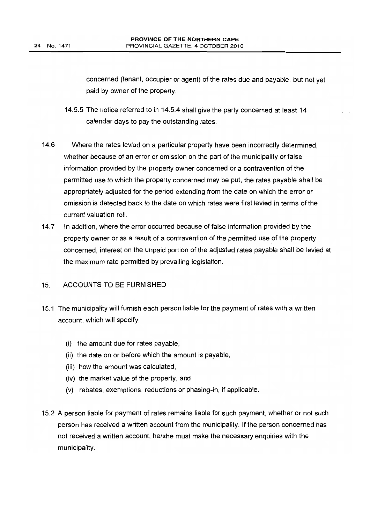concerned (tenant, occupier or agent) of the rates due and payable, but not yet paid by owner of the property.

- 14.5.5 The notice referred to in 14.5.4 shall give the party concerned at least 14 calendar days to pay the outstanding rates.
- 14.6 Where the rates levied on a particular property have been incorrectly determined, whether because of an error or omission on the part of the municipality or false information provided by the property owner concerned or a contravention of the permitted use to which the property concerned may be put, the rates payable shall be appropriately adjusted for the period extending from the date on which the error or omission is detected back to the date on which rates were first levied in terms of the current valuation roll.
- 14.7 In addition, where the error occurred because of false information provided by the property owner or as a result of a contravention of the permitted use of the property concerned, interest on the unpaid portion of the adjusted rates payable shall be levied at the maximum rate permitted by prevailing legislation.

# 15. ACCOUNTS TO BE FURNISHED

- 15.1 The municipality will furnish each person liable for the payment of rates with a written account, which will specify:
	- (i) the amount due for rates payable,
	- (ii) the date on or before which the amount is payable,
	- (iii) how the amount was calculated,
	- (iv) the market value of the property, and
	- (v) rebates, exemptions, reductions or phasing-in, if applicable.
- 15.2 A person liable for payment of rates remains liable for such payment, whether or not such person has received a written account from the municipality. If the person concerned has not received a written account, he/she must make the necessary enquiries with the municipality.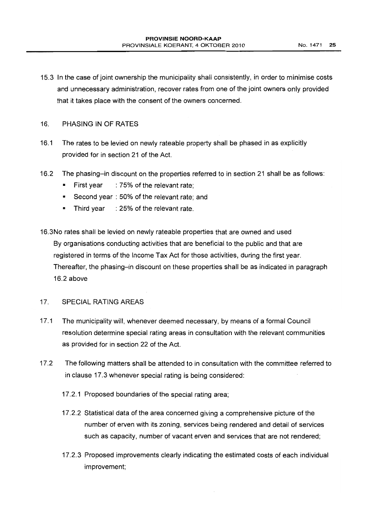15.3 In the case of joint ownership the municipality shall consistently, in order to minimise costs and unnecessary administration, recover rates from one of the joint owners only provided that it takes place with the consent of the owners concerned.

## 16. PHASING IN OF RATES

- 16.1 The rates to be levied on newly rateable property shall be phased in as explicitly provided for in section 21 of the Act.
- 16.2 The phasing-in discount on the properties referred to in section 21 shall be as follows:
	- First year : 75% of the relevant rate;
	- Second year : 50% of the relevant rate; and
	- Third year : 25% of the relevant rate.
- 16.3No rates shall be levied on newly rateable properties that are owned and used By organisations conducting activities that are beneficial to the public and that are registered in terms of the Income Tax Act for those activities, during the first year. Thereafter, the phasing-in discount on these properties shall be as indicated in paragraph 16.2 above

#### 17. SPECIAL RATING AREAS

- 17.1 The municipality will, whenever deemed necessary, by means of a formal Council resolution determine special rating areas in consultation with the relevant communities as provided for in section 22 of the Act.
- 17.2 The following matters shall be attended to in consultation with the committee referred to in clause 17.3 whenever special rating is being considered:
	- 17.2.1 Proposed boundaries of the special rating area;
	- 17.2.2 Statistical data of the area concerned giving a comprehensive picture of the number of erven with its zoning, services being rendered and detail of services such as capacity, number of vacant erven and services that are not rendered;
	- 17.2.3 Proposed improvements clearly indicating the estimated costs of each individual improvement;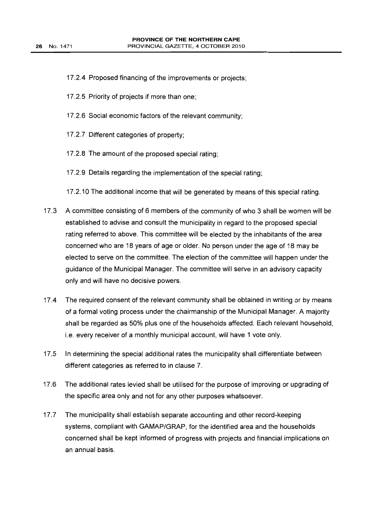- 17.2.4 Proposed financing of the improvements or projects;
- 17.2.5 Priority of projects if more than one;
- 17.2.6 Social economic factors of the relevant community;
- 17.2.7 Different categories of property;
- 17.2.8 The amount of the proposed special rating;
- 17.2.9 Details regarding the implementation of the special rating;
- 17.2.10 The additional income that will be generated by means of this special rating.
- 17.3 A committee consisting of 6 members of the community of who 3 shall be women wi!! be established to advise and consult the municipality in regard to the proposed special rating referred to above. This committee will be elected by the inhabitants of the area concerned who are 18 years of age or older. No person under the age of 18 may be elected to serve on the committee. The election of the committee will happen under the guidance of the Municipal Manager. The committee will serve in an advisory capacity only and will have no decisive powers.
- 17.4 The required consent of the relevant community shall be obtained in writing or by means of a formal voting process under the chairmanship of the Municipal Manager. A majority shall be regarded as 50% plus one of the households affected. Each relevant household, i.e. every receiver of a monthly municipal account, will have 1 vote only.
- 17.5 In determining the special additional rates the municipality shall differentiate between different categories as referred to in clause 7.
- 17.6 The additional rates levied shall be utilised for the purpose of improving or upgrading of the specific area only and not for any other purposes whatsoever.
- 17.7 The municipality shall establish separate accounting and other record-keeping systems, compliant with GAMAP/GRAP, for the identified area and the households concerned shall be kept informed of progress with projects and financial implications on an annual basis.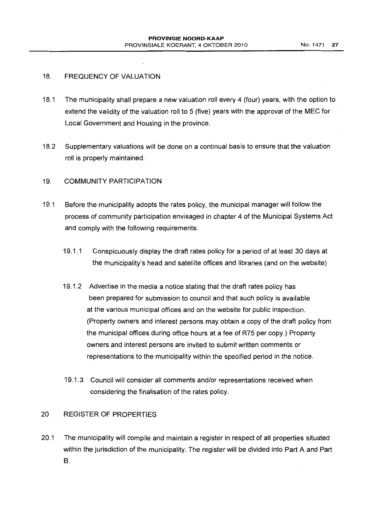# 18. FREQUENCY OF VALUATION

- 18.1 The municipality shall prepare a new valuation roll every 4 (four) years, with the option to extend the validity of the valuation roll to 5 (five) years with the approval of the MEC for Local Government and Housing in the province.
- 18.2 Supplementary valuations will be done on a continual basis to ensure that the valuation roll is properly maintained.

## 19. COMMUNITY PARTICIPATION

- 19.1 Before the municipality adopts the rates policy, the municipal manager will follow the process of community participation envisaged in chapter 4 of the Municipal Systems Act and comply with the following requirements:
	- 19.1.1 Conspicuously display the draft rates policy for a period of at least 30 days at the municipality's head and satellite offices and libraries (and on the website)
	- 19.1.2 Advertise in the media a notice stating that the draft rates policy has been prepared for submission to council and that such policy is available at the various municipal offices and on the website for public inspection. (Property owners and interest persons may obtain a copy of the draft policy from the municipal offices during office hours at a fee of R75 per copy.) Property owners and interest persons are invited to submit written comments or representations to the municipality within the specified period in the notice.
	- 19.1.3 Council will consider all comments and/or representations received when considering the finalisation of the rates policy.

# 20 REGISTER OF PROPERTIES

20.1 The municipality will compile and maintain a register in respect of all properties situated within the jurisdiction of the municipality. The register will be divided into Part A and Part B.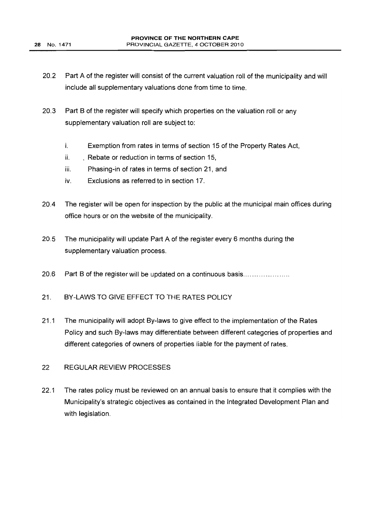- 20.2 Part A of the register will consist of the current valuation roll of the municipality and will include all supplementary valuations done from time to time.
- 20.3 Part B of the register will specify which properties on the valuation roll or any supplementary valuation roll are subject to:
	- i. Exemption from rates in terms of section 15 of the Property Rates Act,
	- ii. Rebate or reduction in terms of section 15,
	- iii. Phasing-in of rates in terms of section 21, and
	- iv. Exclusions as referred to in section 17.
- 20.4 The register will be open for inspection by the public at the municipal main offices during office hours or on the website of the municipality.
- 20.5 The municipality will update Part A of the register every 6 months during the supplementary valuation process.
- 20.6 Part B of the register will be updated on a continuous basis......................
- 21. BY-LAWS TO GIVE EFFECT TO THE RATES POLICY
- 21.1 The municipality will adopt By-laws to give effect to the implementation of the Rates Policy and such By-laws may differentiate between different categories of properties and different categories of owners of properties liable for the payment of rates.

# 22 REGULAR REVIEW PROCESSES

22.1 The rates policy must be reviewed on an annual basis to ensure that it complies with the Municipality's strategic objectives as contained in the Integrated Development Plan and with legislation.